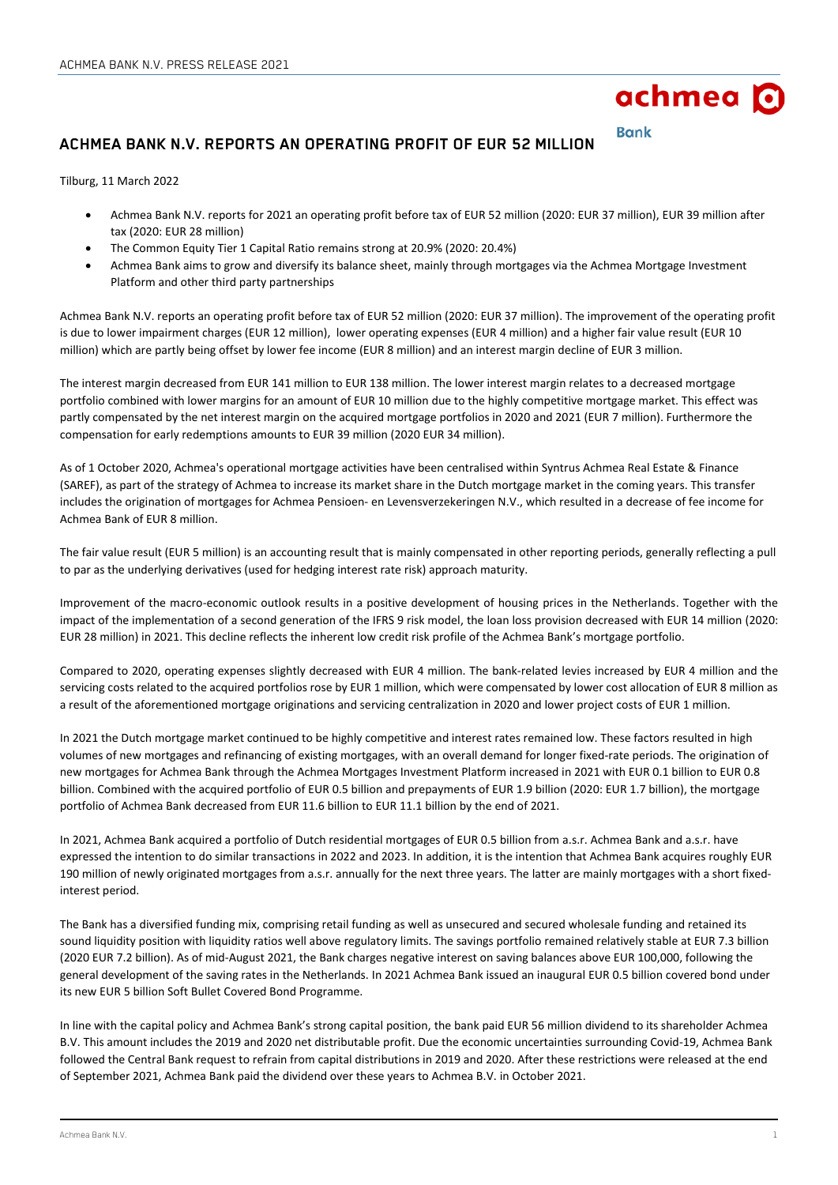

**Bank** 

# **ACHMEA BANK N.V. REPORTS AN OPERATING PROFIT OF EUR 52 MILLION**

Tilburg, 11 March 2022

- Achmea Bank N.V. reports for 2021 an operating profit before tax of EUR 52 million (2020: EUR 37 million), EUR 39 million after tax (2020: EUR 28 million)
- The Common Equity Tier 1 Capital Ratio remains strong at 20.9% (2020: 20.4%)
- Achmea Bank aims to grow and diversify its balance sheet, mainly through mortgages via the Achmea Mortgage Investment Platform and other third party partnerships

Achmea Bank N.V. reports an operating profit before tax of EUR 52 million (2020: EUR 37 million). The improvement of the operating profit is due to lower impairment charges (EUR 12 million), lower operating expenses (EUR 4 million) and a higher fair value result (EUR 10 million) which are partly being offset by lower fee income (EUR 8 million) and an interest margin decline of EUR 3 million.

The interest margin decreased from EUR 141 million to EUR 138 million. The lower interest margin relates to a decreased mortgage portfolio combined with lower margins for an amount of EUR 10 million due to the highly competitive mortgage market. This effect was partly compensated by the net interest margin on the acquired mortgage portfolios in 2020 and 2021 (EUR 7 million). Furthermore the compensation for early redemptions amounts to EUR 39 million (2020 EUR 34 million).

As of 1 October 2020, Achmea's operational mortgage activities have been centralised within Syntrus Achmea Real Estate & Finance (SAREF), as part of the strategy of Achmea to increase its market share in the Dutch mortgage market in the coming years. This transfer includes the origination of mortgages for Achmea Pensioen- en Levensverzekeringen N.V., which resulted in a decrease of fee income for Achmea Bank of EUR 8 million.

The fair value result (EUR 5 million) is an accounting result that is mainly compensated in other reporting periods, generally reflecting a pull to par as the underlying derivatives (used for hedging interest rate risk) approach maturity.

Improvement of the macro-economic outlook results in a positive development of housing prices in the Netherlands. Together with the impact of the implementation of a second generation of the IFRS 9 risk model, the loan loss provision decreased with EUR 14 million (2020: EUR 28 million) in 2021. This decline reflects the inherent low credit risk profile of the Achmea Bank's mortgage portfolio.

Compared to 2020, operating expenses slightly decreased with EUR 4 million. The bank-related levies increased by EUR 4 million and the servicing costs related to the acquired portfolios rose by EUR 1 million, which were compensated by lower cost allocation of EUR 8 million as a result of the aforementioned mortgage originations and servicing centralization in 2020 and lower project costs of EUR 1 million.

In 2021 the Dutch mortgage market continued to be highly competitive and interest rates remained low. These factors resulted in high volumes of new mortgages and refinancing of existing mortgages, with an overall demand for longer fixed-rate periods. The origination of new mortgages for Achmea Bank through the Achmea Mortgages Investment Platform increased in 2021 with EUR 0.1 billion to EUR 0.8 billion. Combined with the acquired portfolio of EUR 0.5 billion and prepayments of EUR 1.9 billion (2020: EUR 1.7 billion), the mortgage portfolio of Achmea Bank decreased from EUR 11.6 billion to EUR 11.1 billion by the end of 2021.

In 2021, Achmea Bank acquired a portfolio of Dutch residential mortgages of EUR 0.5 billion from a.s.r. Achmea Bank and a.s.r. have expressed the intention to do similar transactions in 2022 and 2023. In addition, it is the intention that Achmea Bank acquires roughly EUR 190 million of newly originated mortgages from a.s.r. annually for the next three years. The latter are mainly mortgages with a short fixedinterest period.

The Bank has a diversified funding mix, comprising retail funding as well as unsecured and secured wholesale funding and retained its sound liquidity position with liquidity ratios well above regulatory limits. The savings portfolio remained relatively stable at EUR 7.3 billion (2020 EUR 7.2 billion). As of mid-August 2021, the Bank charges negative interest on saving balances above EUR 100,000, following the general development of the saving rates in the Netherlands. In 2021 Achmea Bank issued an inaugural EUR 0.5 billion covered bond under its new EUR 5 billion Soft Bullet Covered Bond Programme.

In line with the capital policy and Achmea Bank's strong capital position, the bank paid EUR 56 million dividend to its shareholder Achmea B.V. This amount includes the 2019 and 2020 net distributable profit. Due the economic uncertainties surrounding Covid-19, Achmea Bank followed the Central Bank request to refrain from capital distributions in 2019 and 2020. After these restrictions were released at the end of September 2021, Achmea Bank paid the dividend over these years to Achmea B.V. in October 2021.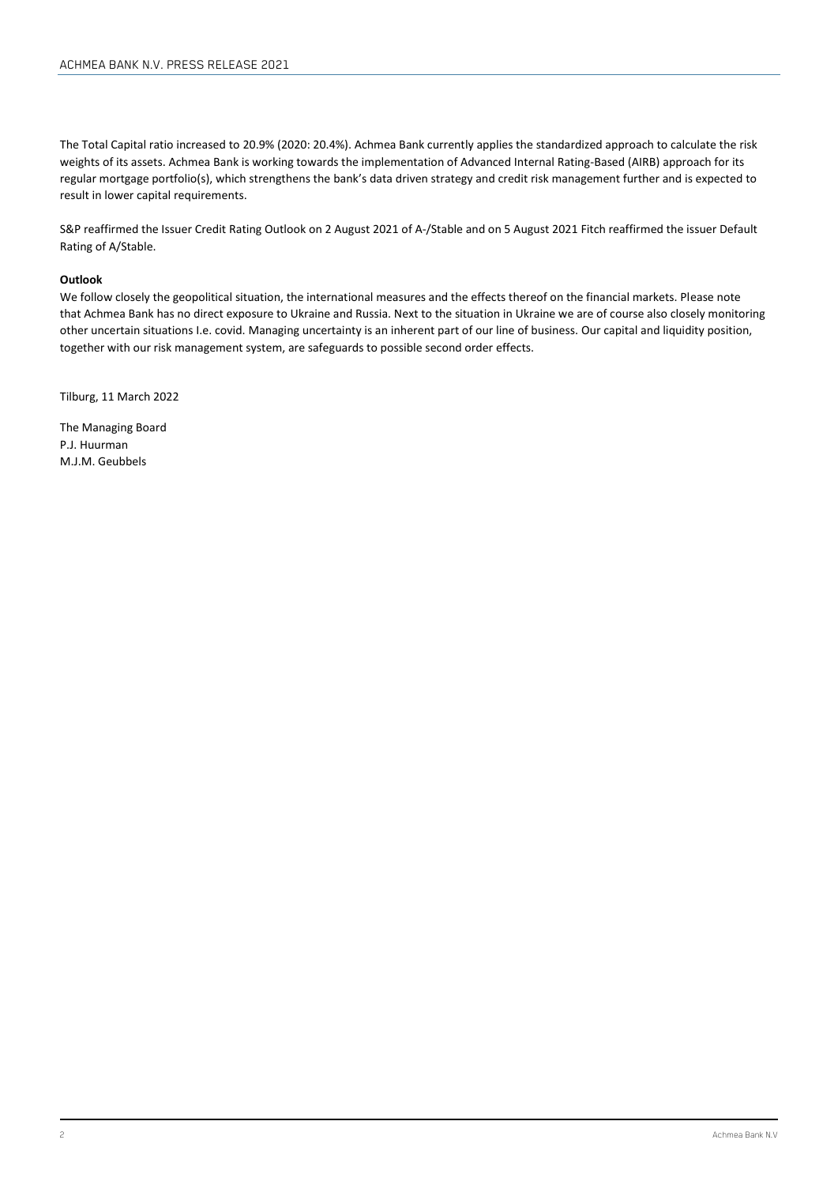The Total Capital ratio increased to 20.9% (2020: 20.4%). Achmea Bank currently applies the standardized approach to calculate the risk weights of its assets. Achmea Bank is working towards the implementation of Advanced Internal Rating-Based (AIRB) approach for its regular mortgage portfolio(s), which strengthens the bank's data driven strategy and credit risk management further and is expected to result in lower capital requirements.

S&P reaffirmed the Issuer Credit Rating Outlook on 2 August 2021 of A-/Stable and on 5 August 2021 Fitch reaffirmed the issuer Default Rating of A/Stable.

## **Outlook**

We follow closely the geopolitical situation, the international measures and the effects thereof on the financial markets. Please note that Achmea Bank has no direct exposure to Ukraine and Russia. Next to the situation in Ukraine we are of course also closely monitoring other uncertain situations I.e. covid. Managing uncertainty is an inherent part of our line of business. Our capital and liquidity position, together with our risk management system, are safeguards to possible second order effects.

Tilburg, 11 March 2022

The Managing Board P.J. Huurman M.J.M. Geubbels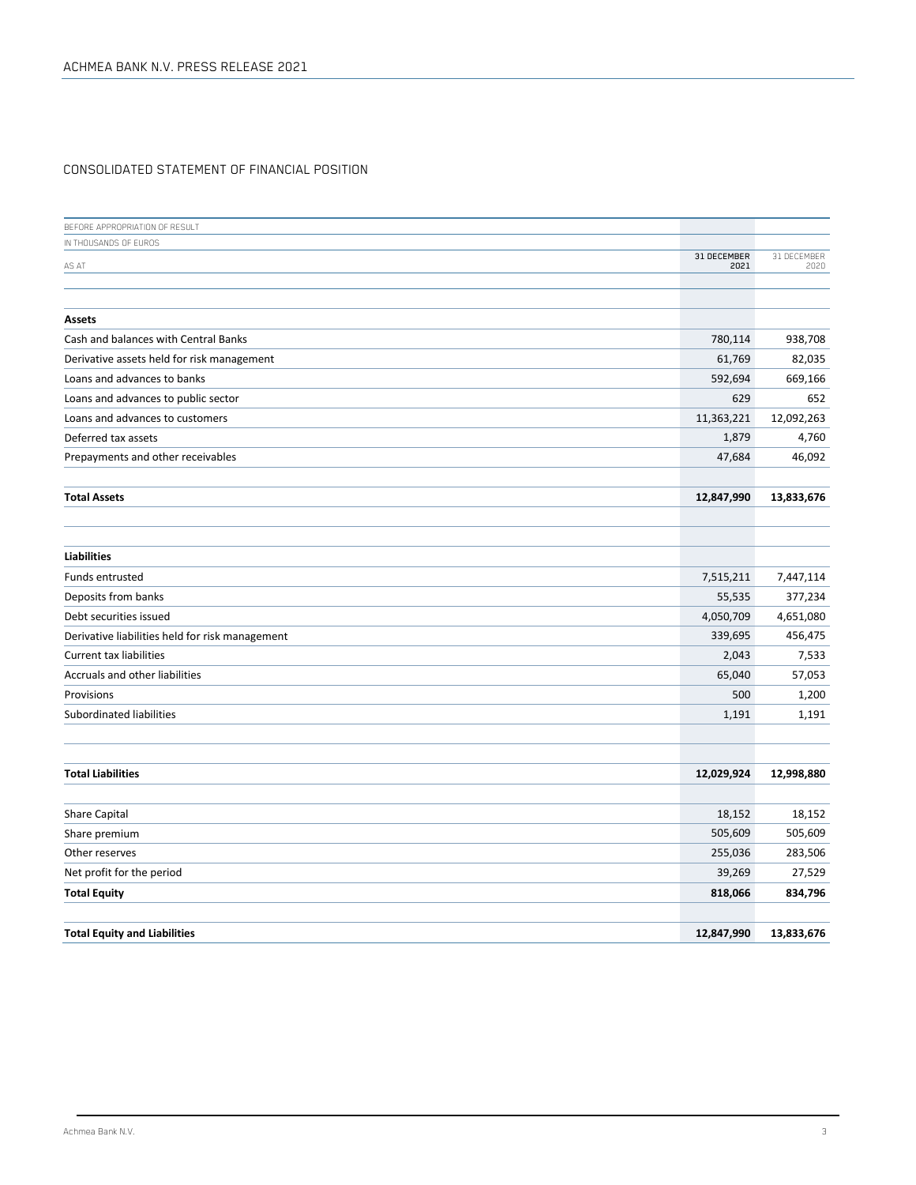# CONSOLIDATED STATEMENT OF FINANCIAL POSITION

| BEFORE APPROPRIATION OF RESULT                  |             |             |
|-------------------------------------------------|-------------|-------------|
| IN THOUSANDS OF EUROS                           | 31 DECEMBER | 31 DECEMBER |
| AS AT                                           | 2021        | 2020        |
|                                                 |             |             |
| Assets                                          |             |             |
| Cash and balances with Central Banks            | 780,114     | 938,708     |
| Derivative assets held for risk management      | 61,769      | 82,035      |
| Loans and advances to banks                     | 592,694     | 669,166     |
| Loans and advances to public sector             | 629         | 652         |
| Loans and advances to customers                 | 11,363,221  | 12,092,263  |
| Deferred tax assets                             | 1,879       | 4,760       |
| Prepayments and other receivables               | 47,684      | 46,092      |
|                                                 |             |             |
| <b>Total Assets</b>                             | 12,847,990  | 13,833,676  |
|                                                 |             |             |
|                                                 |             |             |
| <b>Liabilities</b>                              |             |             |
| <b>Funds entrusted</b>                          | 7,515,211   | 7,447,114   |
| Deposits from banks                             | 55,535      | 377,234     |
| Debt securities issued                          | 4,050,709   | 4,651,080   |
| Derivative liabilities held for risk management | 339,695     | 456,475     |
| <b>Current tax liabilities</b>                  | 2,043       | 7,533       |
| Accruals and other liabilities                  | 65,040      | 57,053      |
| Provisions                                      | 500         | 1,200       |
| Subordinated liabilities                        | 1,191       | 1,191       |
|                                                 |             |             |
|                                                 |             |             |
| <b>Total Liabilities</b>                        | 12,029,924  | 12,998,880  |
| Share Capital                                   | 18,152      | 18,152      |
| Share premium                                   | 505,609     | 505,609     |
| Other reserves                                  | 255,036     | 283,506     |
| Net profit for the period                       | 39,269      | 27,529      |
| <b>Total Equity</b>                             | 818,066     | 834,796     |
|                                                 |             |             |
| <b>Total Equity and Liabilities</b>             | 12,847,990  | 13,833,676  |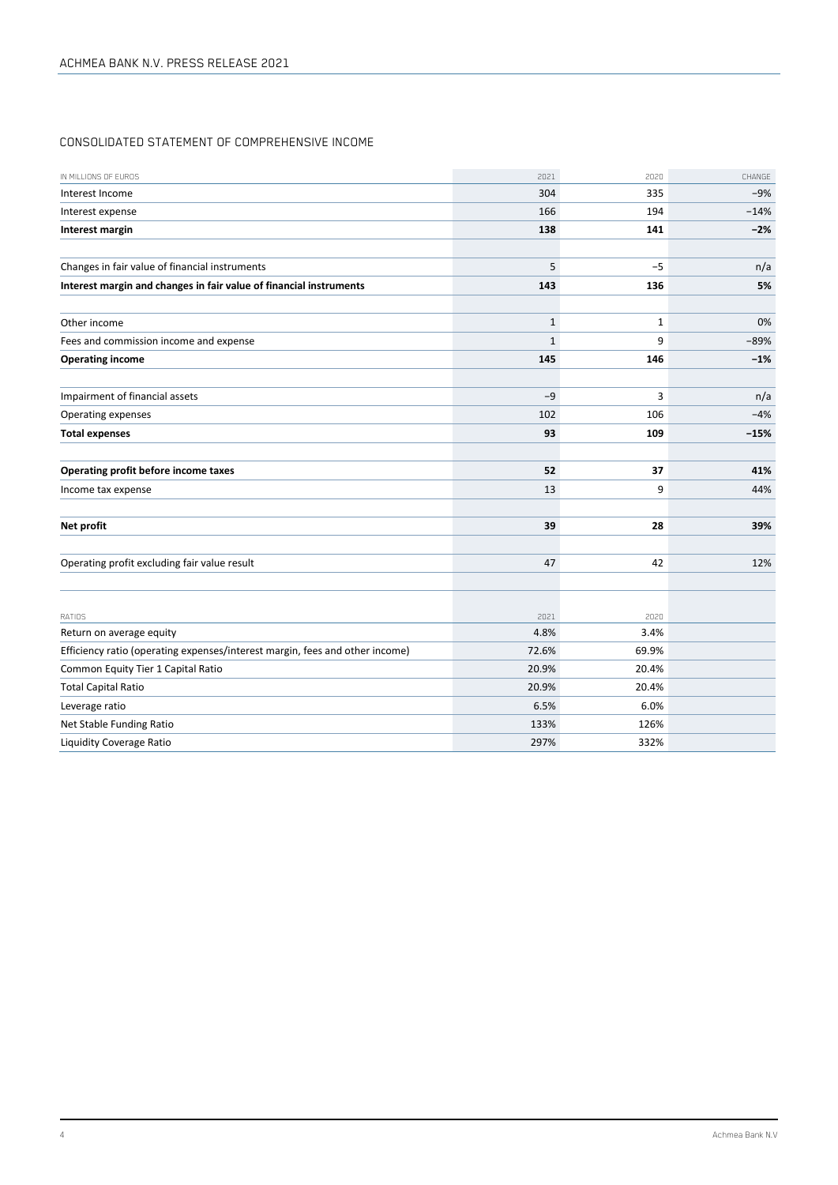# CONSOLIDATED STATEMENT OF COMPREHENSIVE INCOME

| IN MILLIONS OF EUROS                                                         | 2021  | 2020         | CHANGE |
|------------------------------------------------------------------------------|-------|--------------|--------|
| Interest Income                                                              | 304   | 335          | $-9%$  |
| Interest expense                                                             | 166   | 194          | $-14%$ |
| Interest margin                                                              | 138   | 141          | $-2%$  |
|                                                                              |       |              |        |
| Changes in fair value of financial instruments                               | 5     | $-5$         | n/a    |
| Interest margin and changes in fair value of financial instruments           | 143   | 136          | 5%     |
|                                                                              |       |              |        |
| Other income                                                                 | $1\,$ | $\mathbf{1}$ | 0%     |
| Fees and commission income and expense                                       | $1\,$ | 9            | $-89%$ |
| <b>Operating income</b>                                                      | 145   | 146          | $-1%$  |
|                                                                              |       |              |        |
| Impairment of financial assets                                               | $-9$  | 3            | n/a    |
| Operating expenses                                                           | 102   | 106          | $-4%$  |
| <b>Total expenses</b>                                                        | 93    | 109          | $-15%$ |
|                                                                              |       |              |        |
| Operating profit before income taxes                                         | 52    | 37           | 41%    |
| Income tax expense                                                           | 13    | 9            | 44%    |
|                                                                              |       |              |        |
| Net profit                                                                   | 39    | 28           | 39%    |
|                                                                              |       |              |        |
| Operating profit excluding fair value result                                 | 47    | 42           | 12%    |
|                                                                              |       |              |        |
|                                                                              |       |              |        |
| RATIOS                                                                       | 2021  | 2020         |        |
| Return on average equity                                                     | 4.8%  | 3.4%         |        |
| Efficiency ratio (operating expenses/interest margin, fees and other income) | 72.6% | 69.9%        |        |
| Common Equity Tier 1 Capital Ratio                                           | 20.9% | 20.4%        |        |
| <b>Total Capital Ratio</b>                                                   | 20.9% | 20.4%        |        |
| Leverage ratio                                                               | 6.5%  | 6.0%         |        |
| Net Stable Funding Ratio                                                     | 133%  | 126%         |        |
| Liquidity Coverage Ratio                                                     | 297%  | 332%         |        |